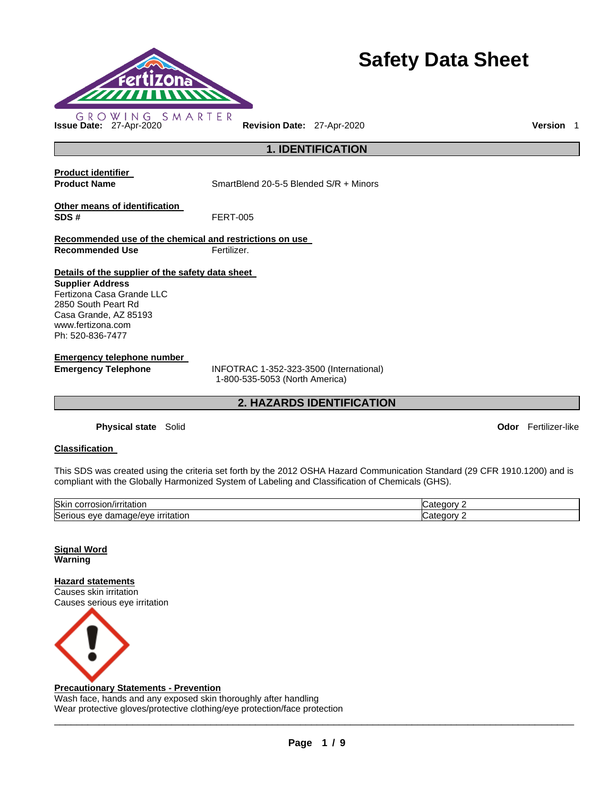

# **Safety Data Sheet**

**1. IDENTIFICATION** 

**Product identifier** 

**Product Name** SmartBlend 20-5-5 Blended S/R + Minors

**Other means of identification SDS #** FERT-005

**Recommended use of the chemical and restrictions on use Recommended Use Fertilizer.** 

# **Details of the supplier of the safety data sheet**

**Supplier Address** Fertizona Casa Grande LLC 2850 South Peart Rd Casa Grande, AZ 85193 www.fertizona.com Ph: 520-836-7477

**Emergency telephone number** 

**Emergency Telephone** INFOTRAC 1-352-323-3500 (International) 1-800-535-5053 (North America)

**2. HAZARDS IDENTIFICATION** 

**Physical state** Solid **Odor** Fertilizer-like

# **Classification**

This SDS was created using the criteria set forth by the 2012 OSHA Hazard Communication Standard (29 CFR 1910.1200) and is compliant with the Globally Harmonized System of Labeling and Classification of Chemicals (GHS).

| <b>Skin</b><br>. uslon:<br>ritation<br>100''<br>7 I I       | וחח     |
|-------------------------------------------------------------|---------|
| Serio<br><b>irritation</b><br>ane.<br>ع/10/14<br>eve<br>dar | ור<br>п |

**Signal Word Warning** 

**Hazard statements** Causes skin irritation Causes serious eye irritation



### **Precautionary Statements - Prevention**

Wash face, hands and any exposed skin thoroughly after handling Wear protective gloves/protective clothing/eye protection/face protection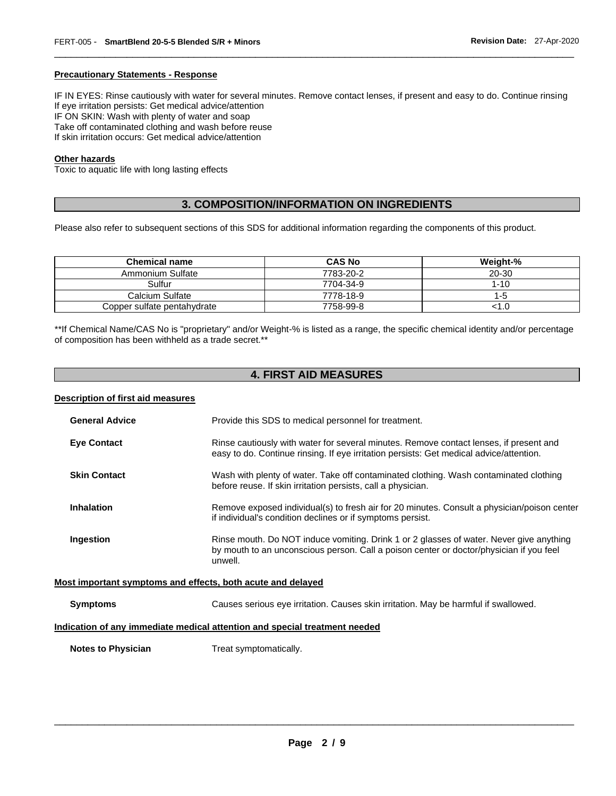### **Precautionary Statements - Response**

IF IN EYES: Rinse cautiously with water for several minutes. Remove contact lenses, if present and easy to do. Continue rinsing If eye irritation persists: Get medical advice/attention IF ON SKIN: Wash with plenty of water and soap Take off contaminated clothing and wash before reuse If skin irritation occurs: Get medical advice/attention

\_\_\_\_\_\_\_\_\_\_\_\_\_\_\_\_\_\_\_\_\_\_\_\_\_\_\_\_\_\_\_\_\_\_\_\_\_\_\_\_\_\_\_\_\_\_\_\_\_\_\_\_\_\_\_\_\_\_\_\_\_\_\_\_\_\_\_\_\_\_\_\_\_\_\_\_\_\_\_\_\_\_\_\_\_\_\_\_\_\_\_\_\_

### **Other hazards**

Toxic to aquatic life with long lasting effects

# **3. COMPOSITION/INFORMATION ON INGREDIENTS**

Please also refer to subsequent sections of this SDS for additional information regarding the components of this product.

| <b>Chemical name</b>        | <b>CAS No</b> | Weight-% |
|-----------------------------|---------------|----------|
| Ammonium Sulfate            | 7783-20-2     | 20-30    |
| Sulfur                      | 7704-34-9     | $1 - 10$ |
| Calcium Sulfate             | 7778-18-9     | $1 - 5$  |
| Copper sulfate pentahydrate | 7758-99-8     | 1.0      |

\*\*If Chemical Name/CAS No is "proprietary" and/or Weight-% is listed as a range, the specific chemical identity and/or percentage of composition has been withheld as a trade secret.\*\*

# **4. FIRST AID MEASURES**

### **Description of first aid measures**

| <b>General Advice</b>                                       | Provide this SDS to medical personnel for treatment.                                                                                                                                          |  |  |
|-------------------------------------------------------------|-----------------------------------------------------------------------------------------------------------------------------------------------------------------------------------------------|--|--|
| <b>Eye Contact</b>                                          | Rinse cautiously with water for several minutes. Remove contact lenses, if present and<br>easy to do. Continue rinsing. If eye irritation persists: Get medical advice/attention.             |  |  |
| <b>Skin Contact</b>                                         | Wash with plenty of water. Take off contaminated clothing. Wash contaminated clothing<br>before reuse. If skin irritation persists, call a physician.                                         |  |  |
| <b>Inhalation</b>                                           | Remove exposed individual(s) to fresh air for 20 minutes. Consult a physician/poison center<br>if individual's condition declines or if symptoms persist.                                     |  |  |
| Ingestion                                                   | Rinse mouth. Do NOT induce vomiting. Drink 1 or 2 glasses of water. Never give anything<br>by mouth to an unconscious person. Call a poison center or doctor/physician if you feel<br>unwell. |  |  |
| Most important symptoms and effects, both acute and delayed |                                                                                                                                                                                               |  |  |
| <b>Symptoms</b>                                             | Causes serious eye irritation. Causes skin irritation. May be harmful if swallowed.                                                                                                           |  |  |

# **Indication of any immediate medical attention and special treatment needed**

**Notes to Physician Treat symptomatically.**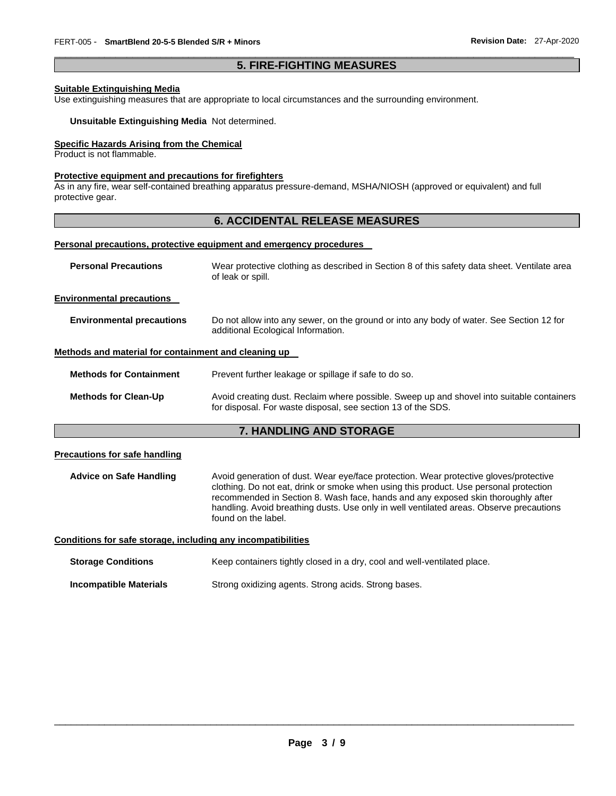# \_\_\_\_\_\_\_\_\_\_\_\_\_\_\_\_\_\_\_\_\_\_\_\_\_\_\_\_\_\_\_\_\_\_\_\_\_\_\_\_\_\_\_\_\_\_\_\_\_\_\_\_\_\_\_\_\_\_\_\_\_\_\_\_\_\_\_\_\_\_\_\_\_\_\_\_\_\_\_\_\_\_\_\_\_\_\_\_\_\_\_\_\_ **5. FIRE-FIGHTING MEASURES**

### **Suitable Extinguishing Media**

Use extinguishing measures that are appropriate to local circumstances and the surrounding environment.

### **Unsuitable Extinguishing Media** Not determined.

### **Specific Hazards Arising from the Chemical**

Product is not flammable.

### **Protective equipment and precautions for firefighters**

As in any fire, wear self-contained breathing apparatus pressure-demand, MSHA/NIOSH (approved or equivalent) and full protective gear.

# **6. ACCIDENTAL RELEASE MEASURES**

### **Personal precautions, protective equipment and emergency procedures**

| <b>Personal Precautions</b>                          | Wear protective clothing as described in Section 8 of this safety data sheet. Ventilate area<br>of leak or spill.                                         |  |  |  |
|------------------------------------------------------|-----------------------------------------------------------------------------------------------------------------------------------------------------------|--|--|--|
| <b>Environmental precautions</b>                     |                                                                                                                                                           |  |  |  |
| <b>Environmental precautions</b>                     | Do not allow into any sewer, on the ground or into any body of water. See Section 12 for<br>additional Ecological Information.                            |  |  |  |
| Methods and material for containment and cleaning up |                                                                                                                                                           |  |  |  |
| <b>Methods for Containment</b>                       | Prevent further leakage or spillage if safe to do so.                                                                                                     |  |  |  |
| <b>Methods for Clean-Up</b>                          | Avoid creating dust. Reclaim where possible. Sweep up and shovel into suitable containers<br>for disposal. For waste disposal, see section 13 of the SDS. |  |  |  |
| <b>7. HANDLING AND STORAGE</b>                       |                                                                                                                                                           |  |  |  |
| <b>Precautions for safe handling</b>                 |                                                                                                                                                           |  |  |  |
| <b>Advice on Safe Handling</b>                       | Avoid generation of dust. Wear eye/face protection. Wear protective gloves/protective                                                                     |  |  |  |

clothing. Do not eat, drink or smoke when using this product. Use personal protection recommended in Section 8. Wash face, hands and any exposed skin thoroughly after handling. Avoid breathing dusts. Use only in well ventilated areas. Observe precautions found on the label.

**Conditions for safe storage, including any incompatibilities**

| <b>Storage Conditions</b> | Keep containers tightly closed in a dry, cool and well-ventilated place. |  |
|---------------------------|--------------------------------------------------------------------------|--|
|                           |                                                                          |  |

**Incompatible Materials** Strong oxidizing agents. Strong acids. Strong bases.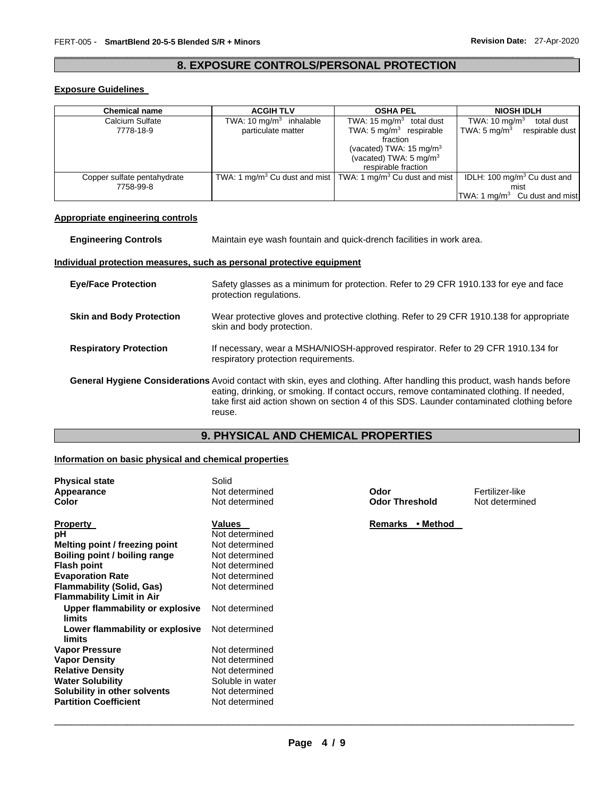# \_\_\_\_\_\_\_\_\_\_\_\_\_\_\_\_\_\_\_\_\_\_\_\_\_\_\_\_\_\_\_\_\_\_\_\_\_\_\_\_\_\_\_\_\_\_\_\_\_\_\_\_\_\_\_\_\_\_\_\_\_\_\_\_\_\_\_\_\_\_\_\_\_\_\_\_\_\_\_\_\_\_\_\_\_\_\_\_\_\_\_\_\_ **8. EXPOSURE CONTROLS/PERSONAL PROTECTION**

# **Exposure Guidelines**

| <b>Chemical name</b>        | <b>ACGIH TLV</b>          | <b>OSHA PEL</b>                                                                     | <b>NIOSH IDLH</b>                         |
|-----------------------------|---------------------------|-------------------------------------------------------------------------------------|-------------------------------------------|
| Calcium Sulfate             | TWA: 10 $mq/m3$ inhalable | TWA: $15 \text{ mg/m}^3$ total dust                                                 | TWA: $10 \text{ mg/m}^3$<br>total dust    |
| 7778-18-9                   | particulate matter        | TWA: $5 \text{ mg/m}^3$ respirable                                                  | TWA: 5 $mq/m3$ respirable dust            |
|                             |                           | fraction                                                                            |                                           |
|                             |                           | (vacated) TWA: $15 \text{ mg/m}^3$                                                  |                                           |
|                             |                           | (vacated) TWA: $5 \text{ mg/m}^3$                                                   |                                           |
|                             |                           | respirable fraction                                                                 |                                           |
| Copper sulfate pentahydrate |                           | TWA: 1 mg/m <sup>3</sup> Cu dust and mist TWA: 1 mg/m <sup>3</sup> Cu dust and mist | IDLH: 100 mg/m <sup>3</sup> Cu dust and   |
| 7758-99-8                   |                           |                                                                                     | mist                                      |
|                             |                           |                                                                                     | TWA: 1 mg/m <sup>3</sup> Cu dust and mist |

# **Appropriate engineering controls**

| <b>Engineering Controls</b>     | Maintain eye wash fountain and quick-drench facilities in work area.                                                                                                                                                                                                                                                           |
|---------------------------------|--------------------------------------------------------------------------------------------------------------------------------------------------------------------------------------------------------------------------------------------------------------------------------------------------------------------------------|
|                                 | Individual protection measures, such as personal protective equipment                                                                                                                                                                                                                                                          |
| <b>Eye/Face Protection</b>      | Safety glasses as a minimum for protection. Refer to 29 CFR 1910.133 for eye and face<br>protection regulations.                                                                                                                                                                                                               |
| <b>Skin and Body Protection</b> | Wear protective gloves and protective clothing. Refer to 29 CFR 1910.138 for appropriate<br>skin and body protection.                                                                                                                                                                                                          |
| <b>Respiratory Protection</b>   | If necessary, wear a MSHA/NIOSH-approved respirator. Refer to 29 CFR 1910.134 for<br>respiratory protection requirements.                                                                                                                                                                                                      |
|                                 | General Hygiene Considerations Avoid contact with skin, eyes and clothing. After handling this product, wash hands before<br>eating, drinking, or smoking. If contact occurs, remove contaminated clothing. If needed,<br>take first aid action shown on section 4 of this SDS. Launder contaminated clothing before<br>reuse. |

# **9. PHYSICAL AND CHEMICAL PROPERTIES**

# **Information on basic physical and chemical properties**

| <b>Physical state</b><br>Appearance<br>Color | Solid<br>Not determined<br>Not determined | Odor<br><b>Odor Threshold</b> | Fertilizer-like<br>Not determined |
|----------------------------------------------|-------------------------------------------|-------------------------------|-----------------------------------|
| <b>Property</b>                              | Values                                    | • Method<br>Remarks           |                                   |
| рH                                           | Not determined                            |                               |                                   |
| Melting point / freezing point               | Not determined                            |                               |                                   |
| Boiling point / boiling range                | Not determined                            |                               |                                   |
| <b>Flash point</b>                           | Not determined                            |                               |                                   |
| <b>Evaporation Rate</b>                      | Not determined                            |                               |                                   |
| <b>Flammability (Solid, Gas)</b>             | Not determined                            |                               |                                   |
| <b>Flammability Limit in Air</b>             |                                           |                               |                                   |
| Upper flammability or explosive<br>limits    | Not determined                            |                               |                                   |
| Lower flammability or explosive<br>limits    | Not determined                            |                               |                                   |
| <b>Vapor Pressure</b>                        | Not determined                            |                               |                                   |
| <b>Vapor Density</b>                         | Not determined                            |                               |                                   |
| <b>Relative Density</b>                      | Not determined                            |                               |                                   |
| <b>Water Solubility</b>                      | Soluble in water                          |                               |                                   |
| Solubility in other solvents                 | Not determined                            |                               |                                   |
| <b>Partition Coefficient</b>                 | Not determined                            |                               |                                   |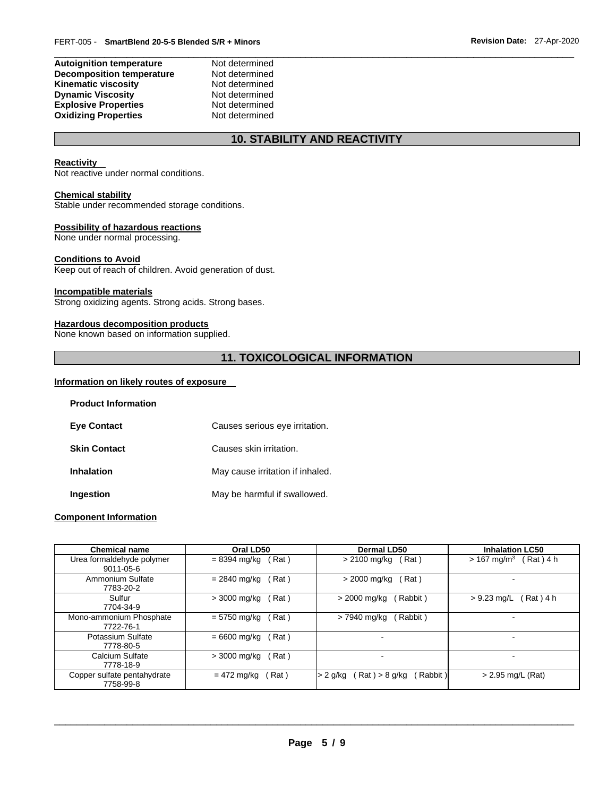### **Autoignition temperature** Not determined **Decomposition temperature** Not determined **Kinematic viscosity Not determined Dynamic Viscosity**<br> **Explosive Properties**<br>
Not determined **Explosive Properties Not determined**<br> **Oxidizing Properties Not determined Oxidizing Properties**

# **10. STABILITY AND REACTIVITY**

\_\_\_\_\_\_\_\_\_\_\_\_\_\_\_\_\_\_\_\_\_\_\_\_\_\_\_\_\_\_\_\_\_\_\_\_\_\_\_\_\_\_\_\_\_\_\_\_\_\_\_\_\_\_\_\_\_\_\_\_\_\_\_\_\_\_\_\_\_\_\_\_\_\_\_\_\_\_\_\_\_\_\_\_\_\_\_\_\_\_\_\_\_

### **Reactivity**

Not reactive under normal conditions.

### **Chemical stability**

Stable under recommended storage conditions.

### **Possibility of hazardous reactions**

None under normal processing.

### **Conditions to Avoid**

Keep out of reach of children. Avoid generation of dust.

### **Incompatible materials**

Strong oxidizing agents. Strong acids. Strong bases.

# **Hazardous decomposition products**

None known based on information supplied.

# **11. TOXICOLOGICAL INFORMATION**

### **Information on likely routes of exposure**

| <b>Product Information</b> |                                  |
|----------------------------|----------------------------------|
| <b>Eve Contact</b>         | Causes serious eye irritation.   |
| <b>Skin Contact</b>        | Causes skin irritation.          |
| <b>Inhalation</b>          | May cause irritation if inhaled. |
| Ingestion                  | May be harmful if swallowed.     |

### **Component Information**

| <b>Chemical name</b>                     | Oral LD50              | Dermal LD50                                      | <b>Inhalation LC50</b>    |
|------------------------------------------|------------------------|--------------------------------------------------|---------------------------|
| Urea formaldehyde polymer                | Rat)                   | (Rat)                                            | $> 167$ mg/m <sup>3</sup> |
| $9011 - 05 - 6$                          | = 8394 mg/kg           | > 2100 mg/kg                                     | Rat ) 4 h                 |
| Ammonium Sulfate                         | Rat)                   | > 2000 mg/kg                                     | -                         |
| 7783-20-2                                | $= 2840$ mg/kg         | (Rat)                                            |                           |
| Sulfur                                   | Rat)                   | Rabbit)                                          | Rat ) 4 h                 |
| 7704-34-9                                | > 3000 mg/kg           | > 2000 mg/kg                                     | $> 9.23$ mg/L             |
| Mono-ammonium Phosphate                  | Rat)                   | Rabbit)                                          | -                         |
| 7722-76-1                                | $= 5750$ mg/kg         | > 7940 mg/kg                                     |                           |
| Potassium Sulfate<br>7778-80-5           | $= 6600$ mg/kg<br>Rat) |                                                  |                           |
| Calcium Sulfate<br>7778-18-9             | > 3000 mg/kg<br>Rat)   |                                                  | -                         |
| Copper sulfate pentahydrate<br>7758-99-8 | $= 472$ mg/kg<br>Rat)  | $\mathsf{Rat}$ ) > 8 g/kg<br>Rabbit)<br>> 2 g/kg | > 2.95 mg/L (Rat)         |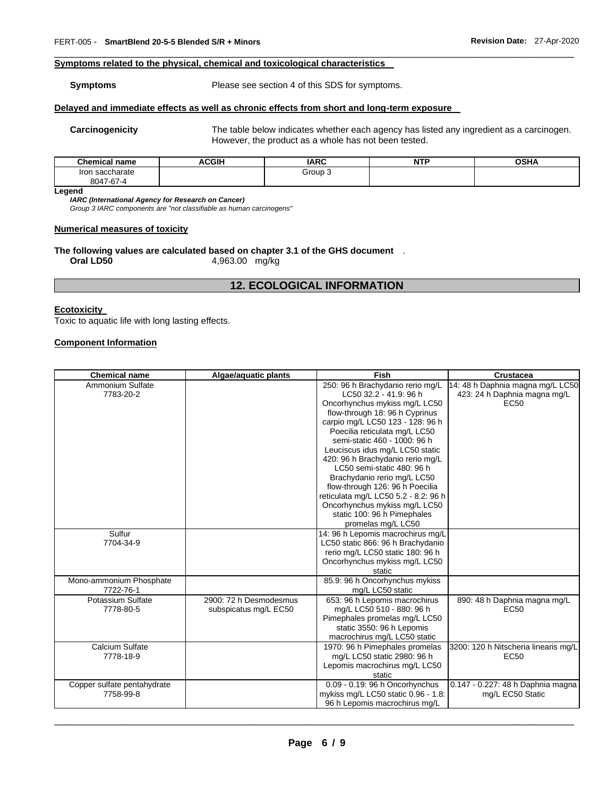# **Symptoms related to the physical, chemical and toxicological characteristics**

### **Symptoms** Please see section 4 of this SDS for symptoms.

### **Delayed and immediate effects as well as chronic effects from short and long-term exposure**

**Carcinogenicity** The table below indicates whether each agency has listed any ingredient as a carcinogen. However, the product as a whole has not been tested.

| <b>Chemical name</b> | <b>ACGIH</b> | <b>IARC</b>        | NITC<br>NIE | <b>OSHA</b> |
|----------------------|--------------|--------------------|-------------|-------------|
| saccharate<br>Iror   |              | Group <sup>1</sup> |             |             |
| 8047-67-4            |              |                    |             |             |

\_\_\_\_\_\_\_\_\_\_\_\_\_\_\_\_\_\_\_\_\_\_\_\_\_\_\_\_\_\_\_\_\_\_\_\_\_\_\_\_\_\_\_\_\_\_\_\_\_\_\_\_\_\_\_\_\_\_\_\_\_\_\_\_\_\_\_\_\_\_\_\_\_\_\_\_\_\_\_\_\_\_\_\_\_\_\_\_\_\_\_\_\_

**Legend** 

*IARC (International Agency for Research on Cancer)*

*Group 3 IARC components are "not classifiable as human carcinogens"* 

### **Numerical measures of toxicity**

# **The following values are calculated based on chapter 3.1 of the GHS document** .

**Oral LD50** 4,963.00 mg/kg

# **12. ECOLOGICAL INFORMATION**

### **Ecotoxicity**

Toxic to aquatic life with long lasting effects.

# **Component Information**

| <b>Chemical name</b>        | Algae/aquatic plants   | Fish                                 | <b>Crustacea</b>                     |
|-----------------------------|------------------------|--------------------------------------|--------------------------------------|
| Ammonium Sulfate            |                        | 250: 96 h Brachydanio rerio mg/L     | 14: 48 h Daphnia magna mg/L LC50     |
| 7783-20-2                   |                        | LC50 32.2 - 41.9: 96 h               | 423: 24 h Daphnia magna mg/L         |
|                             |                        | Oncorhynchus mykiss mg/L LC50        | EC <sub>50</sub>                     |
|                             |                        | flow-through 18: 96 h Cyprinus       |                                      |
|                             |                        | carpio mg/L LC50 123 - 128: 96 h     |                                      |
|                             |                        | Poecilia reticulata mg/L LC50        |                                      |
|                             |                        | semi-static 460 - 1000: 96 h         |                                      |
|                             |                        | Leuciscus idus mg/L LC50 static      |                                      |
|                             |                        | 420: 96 h Brachydanio rerio mg/L     |                                      |
|                             |                        | LC50 semi-static 480: 96 h           |                                      |
|                             |                        | Brachydanio rerio mg/L LC50          |                                      |
|                             |                        | flow-through 126: 96 h Poecilia      |                                      |
|                             |                        | reticulata mg/L LC50 5.2 - 8.2: 96 h |                                      |
|                             |                        | Oncorhynchus mykiss mg/L LC50        |                                      |
|                             |                        | static 100: 96 h Pimephales          |                                      |
|                             |                        | promelas mg/L LC50                   |                                      |
| Sulfur                      |                        | 14: 96 h Lepomis macrochirus mg/L    |                                      |
| 7704-34-9                   |                        | LC50 static 866: 96 h Brachydanio    |                                      |
|                             |                        | rerio mg/L LC50 static 180: 96 h     |                                      |
|                             |                        | Oncorhynchus mykiss mg/L LC50        |                                      |
|                             |                        | static                               |                                      |
| Mono-ammonium Phosphate     |                        | 85.9: 96 h Oncorhynchus mykiss       |                                      |
| 7722-76-1                   |                        | mg/L LC50 static                     |                                      |
| Potassium Sulfate           | 2900: 72 h Desmodesmus | 653: 96 h Lepomis macrochirus        | 890: 48 h Daphnia magna mg/L         |
| 7778-80-5                   | subspicatus mg/L EC50  | mg/L LC50 510 - 880: 96 h            | <b>EC50</b>                          |
|                             |                        | Pimephales promelas mg/L LC50        |                                      |
|                             |                        | static 3550: 96 h Lepomis            |                                      |
|                             |                        | macrochirus mg/L LC50 static         |                                      |
| Calcium Sulfate             |                        | 1970: 96 h Pimephales promelas       | 3200: 120 h Nitscheria linearis mg/L |
| 7778-18-9                   |                        | mg/L LC50 static 2980: 96 h          | EC <sub>50</sub>                     |
|                             |                        | Lepomis macrochirus mg/L LC50        |                                      |
|                             |                        | static                               |                                      |
| Copper sulfate pentahydrate |                        | 0.09 - 0.19: 96 h Oncorhynchus       | 0.147 - 0.227: 48 h Daphnia magna    |
| 7758-99-8                   |                        | mykiss mg/L LC50 static 0.96 - 1.8:  | mg/L EC50 Static                     |
|                             |                        | 96 h Lepomis macrochirus mg/L        |                                      |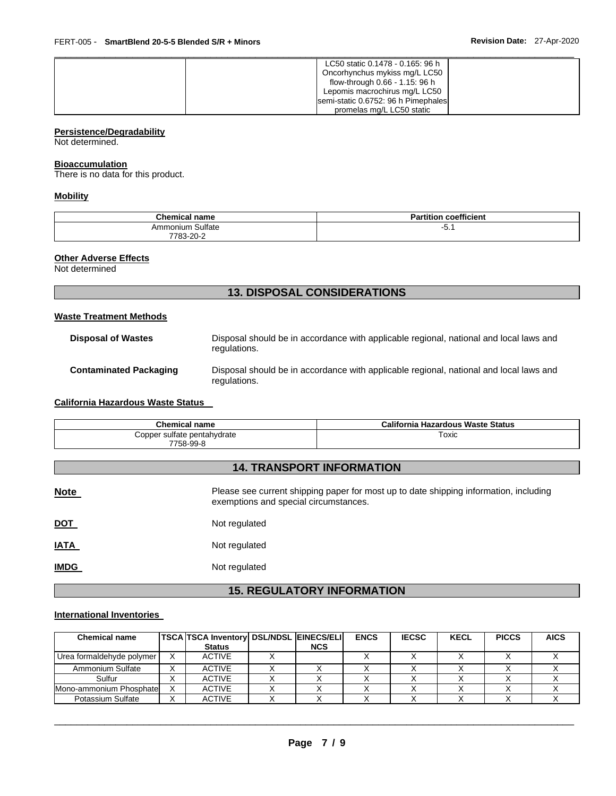| LC50 static 0.1478 - 0.165: 96 h    |
|-------------------------------------|
| Oncorhynchus mykiss mg/L LC50       |
| flow-through 0.66 - 1.15: 96 h      |
| Lepomis macrochirus mg/L LC50       |
| semi-static 0.6752: 96 h Pimephales |
| promelas mg/L LC50 static           |

# **Persistence/Degradability**

Not determined.

### **Bioaccumulation**

There is no data for this product.

# **Mobility**

| <b>Chemical</b><br>name           | coefficient<br>$-0.1$<br>--<br>tition<br>αı |
|-----------------------------------|---------------------------------------------|
| ⊦Sulfate<br>Ammonium<br>7783-20-∠ | ັບ.                                         |

### **Other Adverse Effects**

Not determined

# **13. DISPOSAL CONSIDERATIONS**

### **Waste Treatment Methods**

| <b>Disposal of Wastes</b>     | Disposal should be in accordance with applicable regional, national and local laws and<br>regulations. |
|-------------------------------|--------------------------------------------------------------------------------------------------------|
| <b>Contaminated Packaging</b> | Disposal should be in accordance with applicable regional, national and local laws and<br>regulations. |

# **California Hazardous Waste Status**

| Chemical name                            | California Hazardous Waste Status |
|------------------------------------------|-----------------------------------|
| Copper sulfate pentahydrate<br>7758-99-8 | Toxic                             |

# **14. TRANSPORT INFORMATION**

| <b>Note</b> | Please see current shipping paper for most up to date shipping information, including<br>exemptions and special circumstances. |
|-------------|--------------------------------------------------------------------------------------------------------------------------------|
| <u>DOT</u>  | Not regulated                                                                                                                  |
| <b>IATA</b> | Not regulated                                                                                                                  |
| <b>IMDG</b> | Not regulated                                                                                                                  |

# **15. REGULATORY INFORMATION**

# **International Inventories**

| <b>Chemical name</b>      | <b>TSCA TSCA Inventory DSL/NDSL EINECS/ELI</b><br><b>Status</b> | <b>NCS</b> | <b>ENCS</b> | <b>IECSC</b> | <b>KECL</b> | <b>PICCS</b> | <b>AICS</b> |
|---------------------------|-----------------------------------------------------------------|------------|-------------|--------------|-------------|--------------|-------------|
| Urea formaldehyde polymer | <b>ACTIVE</b>                                                   |            |             |              |             |              |             |
| Ammonium Sulfate          | <b>ACTIVE</b>                                                   |            |             |              |             |              |             |
| Sulfur                    | <b>ACTIVE</b>                                                   |            |             |              |             |              |             |
| Mono-ammonium Phosphate   | <b>ACTIVE</b>                                                   |            |             |              |             |              |             |
| Potassium Sulfate         | <b>ACTIVE</b>                                                   |            |             |              |             |              |             |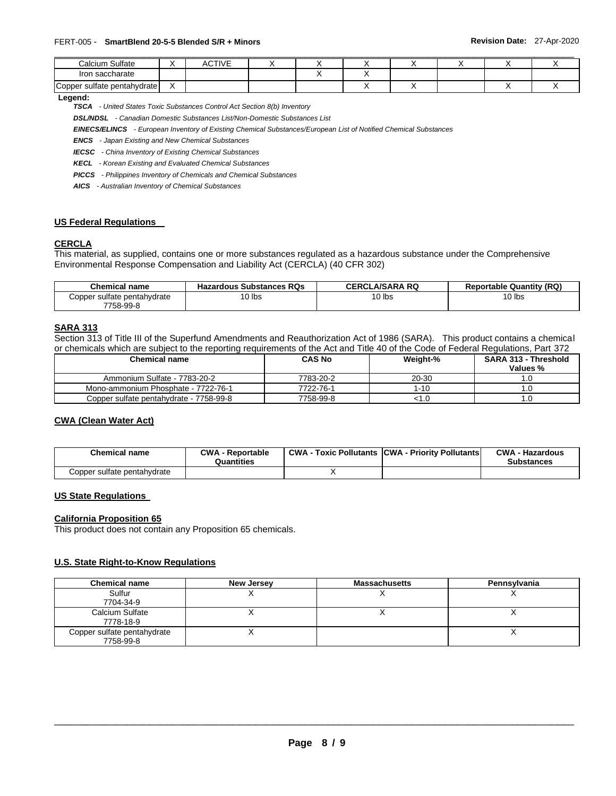| Calcium Sulfate             | $\lambda$ | ACTIVE |  |  |  |  |
|-----------------------------|-----------|--------|--|--|--|--|
| Iron saccharate             |           |        |  |  |  |  |
| Copper sulfate pentahydrate |           |        |  |  |  |  |

### **Legend:**

*TSCA - United States Toxic Substances Control Act Section 8(b) Inventory* 

*DSL/NDSL - Canadian Domestic Substances List/Non-Domestic Substances List* 

*EINECS/ELINCS - European Inventory of Existing Chemical Substances/European List of Notified Chemical Substances* 

*ENCS - Japan Existing and New Chemical Substances* 

*IECSC - China Inventory of Existing Chemical Substances* 

*KECL - Korean Existing and Evaluated Chemical Substances* 

*PICCS - Philippines Inventory of Chemicals and Chemical Substances* 

*AICS - Australian Inventory of Chemical Substances* 

### **US Federal Regulations**

### **CERCLA**

This material, as supplied, contains one or more substances regulated as a hazardous substance under the Comprehensive Environmental Response Compensation and Liability Act (CERCLA) (40 CFR 302)

| Chemical name               | <b>Hazardous Substances RQs</b> | <b>CERCLA/SARA RQ</b> | <b>Reportable Quantity (RQ)</b> |
|-----------------------------|---------------------------------|-----------------------|---------------------------------|
| Copper sulfate pentahydrate | $10$ lbs                        | 10 lbs                | $10$ lbs                        |
| 7758-99-8                   |                                 |                       |                                 |

### **SARA 313**

Section 313 of Title III of the Superfund Amendments and Reauthorization Act of 1986 (SARA). This product contains a chemical or chemicals which are subject to the reporting requirements of the Act and Title 40 of the Code of Federal Regulations, Part 372

| <b>Chemical name</b>                    | <b>CAS No</b> | Weight-% | <b>SARA 313 - Threshold</b><br>Values % |
|-----------------------------------------|---------------|----------|-----------------------------------------|
| Ammonium Sulfate - 7783-20-2            | 7783-20-2     | 20-30    |                                         |
| Mono-ammonium Phosphate - 7722-76-1     | 7722-76-1     | 1-10     |                                         |
| Copper sulfate pentahydrate - 7758-99-8 | 7758-99-8     | <1.0     |                                         |

# **CWA (Clean Water Act)**

| <b>Chemical name</b>        | <b>CWA - Reportable</b><br>Quantities | <b>CWA - Toxic Pollutants CWA - Priority Pollutants</b> | <b>CWA - Hazardous</b><br>Substances |
|-----------------------------|---------------------------------------|---------------------------------------------------------|--------------------------------------|
| Copper sulfate pentahydrate |                                       |                                                         |                                      |

### **US State Regulations**

### **California Proposition 65**

This product does not contain any Proposition 65 chemicals.

### **U.S. State Right-to-Know Regulations**

| <b>Chemical name</b>                     | New Jersey | <b>Massachusetts</b> | Pennsylvania |
|------------------------------------------|------------|----------------------|--------------|
| Sulfur<br>7704-34-9                      |            |                      |              |
| Calcium Sulfate<br>7778-18-9             |            |                      |              |
| Copper sulfate pentahydrate<br>7758-99-8 |            |                      |              |